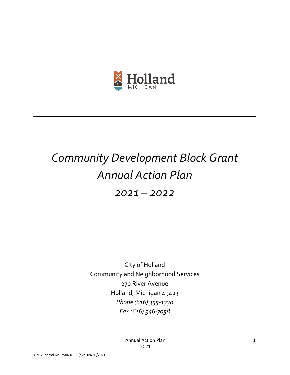

# *Community Development Block Grant Annual Action Plan*

*2021 – 2022*

City of Holland Community and Neighborhood Services 270 River Avenue Holland, Michigan 49423 *Phone (616) 355-1330 Fax (616) 546-7058*

> Annual Action Plan 2021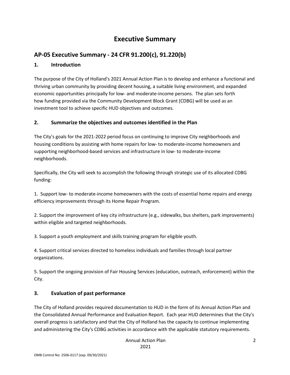# **Executive Summary**

# **AP-05 Executive Summary - 24 CFR 91.200(c), 91.220(b)**

## **1. Introduction**

The purpose of the City of Holland's 2021 Annual Action Plan is to develop and enhance a functional and thriving urban community by providing decent housing, a suitable living environment, and expanded economic opportunities principally for low- and moderate-income persons. The plan sets forth how funding provided via the Community Development Block Grant (CDBG) will be used as an investment tool to achieve specific HUD objectives and outcomes.

## **2. Summarize the objectives and outcomes identified in the Plan**

The City's goals for the 2021-2022 period focus on continuing to improve City neighborhoods and housing conditions by assisting with home repairs for low- to moderate-income homeowners and supporting neighborhood-based services and infrastructure in low- to moderate-income neighborhoods.

Specifically, the City will seek to accomplish the following through strategic use of its allocated CDBG funding:

1. Support low- to moderate-income homeowners with the costs of essential home repairs and energy efficiency improvements through its Home Repair Program.

2. Support the improvement of key city infrastructure (e.g., sidewalks, bus shelters, park improvements) within eligible and targeted neighborhoods.

3. Support a youth employment and skills training program for eligible youth.

4. Support critical services directed to homeless individuals and families through local partner organizations.

5. Support the ongoing provision of Fair Housing Services (education, outreach, enforcement) within the City.

## **3. Evaluation of past performance**

The City of Holland provides required documentation to HUD in the form of its Annual Action Plan and the Consolidated Annual Performance and Evaluation Report. Each year HUD determines that the City's overall progress is satisfactory and that the City of Holland has the capacity to continue implementing and administering the City's CDBG activities in accordance with the applicable statutory requirements.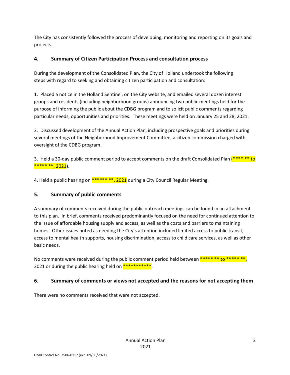The City has consistently followed the process of developing, monitoring and reporting on its goals and projects.

## **4. Summary of Citizen Participation Process and consultation process**

During the development of the Consolidated Plan, the City of Holland undertook the following steps with regard to seeking and obtaining citizen participation and consultation:

1. Placed a notice in the Holland Sentinel, on the City website, and emailed several dozen interest groups and residents (including neighborhood groups) announcing two public meetings held for the purpose of informing the public about the CDBG program and to solicit public comments regarding particular needs, opportunities and priorities. These meetings were held on January 25 and 28, 2021.

2. Discussed development of the Annual Action Plan, including prospective goals and priorities during several meetings of the Neighborhood Improvement Committee, a citizen commission charged with oversight of the CDBG program.

3. Held a 30-day public comment period to accept comments on the draft Consolidated Plan  $(***** to$  $*****$  \*\*, 2021).

4. Held a public hearing on \*\*\*\*\*\* \*\*, 2021 during a City Council Regular Meeting.

## **5. Summary of public comments**

A summary of comments received during the public outreach meetings can be found in an attachment to this plan. In brief, comments received predominantly focused on the need for continued attention to the issue of affordable housing supply and access, as well as the costs and barriers to maintaining homes. Other issues noted as needing the City's attention included limited access to public transit, access to mental health supports, housing discrimination, access to child care services, as well as other basic needs.

No comments were received during the public comment period held between \*\*\*\*\* \*\* to \*\*\*\*\* \*\*, 2021 or during the public hearing held on  $*********$ .

## **6. Summary of comments or views not accepted and the reasons for not accepting them**

There were no comments received that were not accepted.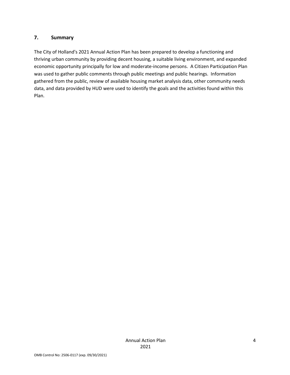#### **7. Summary**

The City of Holland's 2021 Annual Action Plan has been prepared to develop a functioning and thriving urban community by providing decent housing, a suitable living environment, and expanded economic opportunity principally for low and moderate-income persons. A Citizen Participation Plan was used to gather public comments through public meetings and public hearings. Information gathered from the public, review of available housing market analysis data, other community needs data, and data provided by HUD were used to identify the goals and the activities found within this Plan.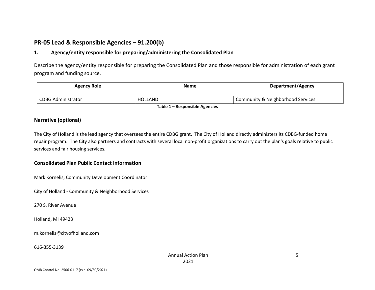# **PR-05 Lead & Responsible Agencies – 91.200(b)**

## **1. Agency/entity responsible for preparing/administering the Consolidated Plan**

Describe the agency/entity responsible for preparing the Consolidated Plan and those responsible for administration of each grant program and funding source.

| <b>Agency Role</b>        | Name    | Department/Agency                 |  |
|---------------------------|---------|-----------------------------------|--|
|                           |         |                                   |  |
| <b>CDBG Administrator</b> | HOLLAND | Community & Neighborhood Services |  |

**Table 1 – Responsible Agencies**

#### **Narrative (optional)**

The City of Holland is the lead agency that oversees the entire CDBG grant. The City of Holland directly administers its CDBG-funded home repair program. The City also partners and contracts with several local non-profit organizations to carry out the plan's goals relative to public services and fair housing services.

#### **Consolidated Plan Public Contact Information**

Mark Kornelis, Community Development Coordinator

City of Holland - Community & Neighborhood Services

270 S. River Avenue

Holland, MI 49423

m.kornelis@cityofholland.com

#### 616-355-3139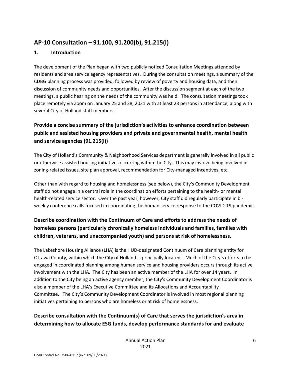# **AP-10 Consultation – 91.100, 91.200(b), 91.215(l)**

## **1. Introduction**

The development of the Plan began with two publicly noticed Consultation Meetings attended by residents and area service agency representatives. During the consultation meetings, a summary of the CDBG planning process was provided, followed by review of poverty and housing data, and then discussion of community needs and opportunities. After the discussion segment at each of the two meetings, a public hearing on the needs of the community was held. The consultation meetings took place remotely via Zoom on January 25 and 28, 2021 with at least 23 persons in attendance, along with several City of Holland staff members.

# **Provide a concise summary of the jurisdiction's activities to enhance coordination between public and assisted housing providers and private and governmental health, mental health and service agencies (91.215(l))**

The City of Holland's Community & Neighborhood Services department is generally involved in all public or otherwise assisted housing initiatives occurring within the City. This may involve being involved in zoning-related issues, site plan approval, recommendation for City-managed incentives, etc.

Other than with regard to housing and homelessness (see below), the City's Community Development staff do not engage in a central role in the coordination efforts pertaining to the health- or mental health-related service sector. Over the past year, however, City staff did regularly participate in biweekly conference calls focused in coordinating the human service response to the COVID-19 pandemic.

# **Describe coordination with the Continuum of Care and efforts to address the needs of homeless persons (particularly chronically homeless individuals and families, families with children, veterans, and unaccompanied youth) and persons at risk of homelessness.**

The Lakeshore Housing Alliance (LHA) is the HUD-designated Continuum of Care planning entity for Ottawa County, within which the City of Holland is principally located. Much of the City's efforts to be engaged in coordinated planning among human service and housing providers occurs through its active involvement with the LHA. The City has been an active member of the LHA for over 14 years. In addition to the City being an active agency member, the City's Community Development Coordinator is also a member of the LHA's Executive Committee and its Allocations and Accountability Committee. The City's Community Development Coordinator is involved in most regional planning initiatives pertaining to persons who are homeless or at risk of homelessness.

# **Describe consultation with the Continuum(s) of Care that serves the jurisdiction's area in determining how to allocate ESG funds, develop performance standards for and evaluate**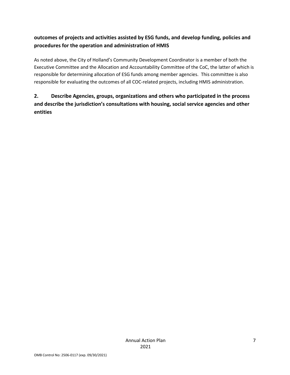# **outcomes of projects and activities assisted by ESG funds, and develop funding, policies and procedures for the operation and administration of HMIS**

As noted above, the City of Holland's Community Development Coordinator is a member of both the Executive Committee and the Allocation and Accountability Committee of the CoC, the latter of which is responsible for determining allocation of ESG funds among member agencies. This committee is also responsible for evaluating the outcomes of all COC-related projects, including HMIS administration.

# **2. Describe Agencies, groups, organizations and others who participated in the process and describe the jurisdiction's consultations with housing, social service agencies and other entities**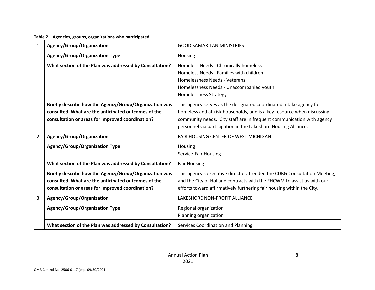**Table 2 – Agencies, groups, organizations who participated**

| 1              | Agency/Group/Organization                                                                                                                                         | <b>GOOD SAMARITAN MINISTRIES</b>                                                                                                                                                                                                                                                        |  |  |
|----------------|-------------------------------------------------------------------------------------------------------------------------------------------------------------------|-----------------------------------------------------------------------------------------------------------------------------------------------------------------------------------------------------------------------------------------------------------------------------------------|--|--|
|                | <b>Agency/Group/Organization Type</b>                                                                                                                             | Housing                                                                                                                                                                                                                                                                                 |  |  |
|                | What section of the Plan was addressed by Consultation?                                                                                                           | Homeless Needs - Chronically homeless<br>Homeless Needs - Families with children<br>Homelessness Needs - Veterans<br>Homelessness Needs - Unaccompanied youth<br><b>Homelessness Strategy</b>                                                                                           |  |  |
|                | Briefly describe how the Agency/Group/Organization was<br>consulted. What are the anticipated outcomes of the<br>consultation or areas for improved coordination? | This agency serves as the designated coordinated intake agency for<br>homeless and at-risk households, and is a key resource when discussing<br>community needs. City staff are in frequent communication with agency<br>personnel via participation in the Lakeshore Housing Alliance. |  |  |
| $\overline{2}$ | Agency/Group/Organization                                                                                                                                         | <b>FAIR HOUSING CENTER OF WEST MICHIGAN</b>                                                                                                                                                                                                                                             |  |  |
|                | <b>Agency/Group/Organization Type</b>                                                                                                                             | Housing<br>Service-Fair Housing                                                                                                                                                                                                                                                         |  |  |
|                | What section of the Plan was addressed by Consultation?                                                                                                           | <b>Fair Housing</b>                                                                                                                                                                                                                                                                     |  |  |
|                | Briefly describe how the Agency/Group/Organization was<br>consulted. What are the anticipated outcomes of the<br>consultation or areas for improved coordination? | This agency's executive director attended the CDBG Consultation Meeting,<br>and the City of Holland contracts with the FHCWM to assist us with our<br>efforts toward affirmatively furthering fair housing within the City.                                                             |  |  |
| 3              | Agency/Group/Organization                                                                                                                                         | LAKESHORE NON-PROFIT ALLIANCE                                                                                                                                                                                                                                                           |  |  |
|                | <b>Agency/Group/Organization Type</b>                                                                                                                             | Regional organization<br>Planning organization                                                                                                                                                                                                                                          |  |  |
|                | What section of the Plan was addressed by Consultation?                                                                                                           | Services Coordination and Planning                                                                                                                                                                                                                                                      |  |  |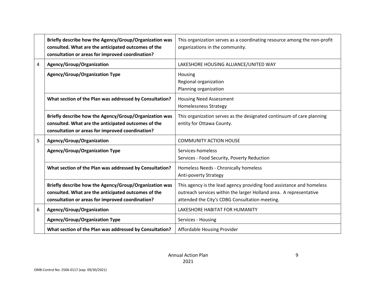|   | Briefly describe how the Agency/Group/Organization was<br>consulted. What are the anticipated outcomes of the<br>consultation or areas for improved coordination? | This organization serves as a coordinating resource among the non-profit<br>organizations in the community.                                                                                   |
|---|-------------------------------------------------------------------------------------------------------------------------------------------------------------------|-----------------------------------------------------------------------------------------------------------------------------------------------------------------------------------------------|
| 4 | Agency/Group/Organization                                                                                                                                         | LAKESHORE HOUSING ALLIANCE/UNITED WAY                                                                                                                                                         |
|   | <b>Agency/Group/Organization Type</b>                                                                                                                             | Housing<br>Regional organization<br>Planning organization                                                                                                                                     |
|   | What section of the Plan was addressed by Consultation?                                                                                                           | <b>Housing Need Assessment</b><br><b>Homelessness Strategy</b>                                                                                                                                |
|   | Briefly describe how the Agency/Group/Organization was<br>consulted. What are the anticipated outcomes of the<br>consultation or areas for improved coordination? | This organization serves as the designated continuum of care planning<br>entity for Ottawa County.                                                                                            |
| 5 | Agency/Group/Organization                                                                                                                                         | <b>COMMUNITY ACTION HOUSE</b>                                                                                                                                                                 |
|   | <b>Agency/Group/Organization Type</b>                                                                                                                             | Services-homeless<br>Services - Food Security, Poverty Reduction                                                                                                                              |
|   | What section of the Plan was addressed by Consultation?                                                                                                           | Homeless Needs - Chronically homeless<br><b>Anti-poverty Strategy</b>                                                                                                                         |
|   | Briefly describe how the Agency/Group/Organization was<br>consulted. What are the anticipated outcomes of the<br>consultation or areas for improved coordination? | This agency is the lead agency providing food assistance and homeless<br>outreach services within the larger Holland area. A representative<br>attended the City's CDBG Consultation meeting. |
| 6 | Agency/Group/Organization                                                                                                                                         | LAKESHORE HABITAT FOR HUMANITY                                                                                                                                                                |
|   | <b>Agency/Group/Organization Type</b>                                                                                                                             | Services - Housing                                                                                                                                                                            |
|   | What section of the Plan was addressed by Consultation?                                                                                                           | Affordable Housing Provider                                                                                                                                                                   |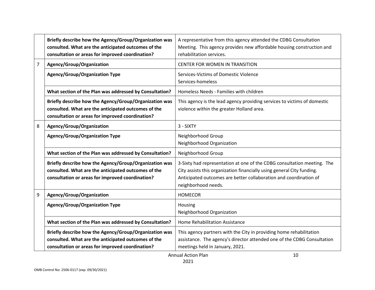|   | Briefly describe how the Agency/Group/Organization was<br>consulted. What are the anticipated outcomes of the<br>consultation or areas for improved coordination? | A representative from this agency attended the CDBG Consultation<br>Meeting. This agency provides new affordable housing construction and<br>rehabilitation services.                                                                         |
|---|-------------------------------------------------------------------------------------------------------------------------------------------------------------------|-----------------------------------------------------------------------------------------------------------------------------------------------------------------------------------------------------------------------------------------------|
| 7 | Agency/Group/Organization                                                                                                                                         | <b>CENTER FOR WOMEN IN TRANSITION</b>                                                                                                                                                                                                         |
|   | <b>Agency/Group/Organization Type</b>                                                                                                                             | Services-Victims of Domestic Violence<br>Services-homeless                                                                                                                                                                                    |
|   | What section of the Plan was addressed by Consultation?                                                                                                           | Homeless Needs - Families with children                                                                                                                                                                                                       |
|   | Briefly describe how the Agency/Group/Organization was<br>consulted. What are the anticipated outcomes of the<br>consultation or areas for improved coordination? | This agency is the lead agency providing services to victims of domestic<br>violence within the greater Holland area.                                                                                                                         |
| 8 | Agency/Group/Organization                                                                                                                                         | 3 - SIXTY                                                                                                                                                                                                                                     |
|   | <b>Agency/Group/Organization Type</b>                                                                                                                             | Neighborhood Group<br>Neighborhood Organization                                                                                                                                                                                               |
|   | What section of the Plan was addressed by Consultation?                                                                                                           | Neighborhood Group                                                                                                                                                                                                                            |
|   | Briefly describe how the Agency/Group/Organization was<br>consulted. What are the anticipated outcomes of the<br>consultation or areas for improved coordination? | 3-Sixty had representation at one of the CDBG consultation meeting. The<br>City assists this organization financially using general City funding.<br>Anticipated outcomes are better collaboration and coordination of<br>neighborhood needs. |
| 9 | Agency/Group/Organization                                                                                                                                         | <b>HOMECOR</b>                                                                                                                                                                                                                                |
|   | <b>Agency/Group/Organization Type</b>                                                                                                                             | Housing<br>Neighborhood Organization                                                                                                                                                                                                          |
|   | What section of the Plan was addressed by Consultation?                                                                                                           | Home Rehabilitation Assistance                                                                                                                                                                                                                |
|   | Briefly describe how the Agency/Group/Organization was<br>consulted. What are the anticipated outcomes of the<br>consultation or areas for improved coordination? | This agency partners with the City in providing home rehabilitation<br>assistance. The agency's director attended one of the CDBG Consultation<br>meetings held in January, 2021.                                                             |
|   |                                                                                                                                                                   | <b>Annual Action Plan</b><br>10                                                                                                                                                                                                               |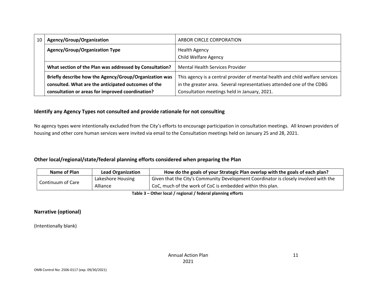| 10 | Agency/Group/Organization                               | ARBOR CIRCLE CORPORATION                                                      |  |  |
|----|---------------------------------------------------------|-------------------------------------------------------------------------------|--|--|
|    | <b>Agency/Group/Organization Type</b>                   | <b>Health Agency</b>                                                          |  |  |
|    |                                                         | <b>Child Welfare Agency</b>                                                   |  |  |
|    | What section of the Plan was addressed by Consultation? | <b>Mental Health Services Provider</b>                                        |  |  |
|    | Briefly describe how the Agency/Group/Organization was  | This agency is a central provider of mental health and child welfare services |  |  |
|    | consulted. What are the anticipated outcomes of the     | in the greater area. Several representatives attended one of the CDBG         |  |  |
|    | consultation or areas for improved coordination?        | Consultation meetings held in January, 2021.                                  |  |  |

#### **Identify any Agency Types not consulted and provide rationale for not consulting**

No agency types were intentionally excluded from the City's efforts to encourage participation in consultation meetings. All known providers of housing and other core human services were invited via email to the Consultation meetings held on January 25 and 28, 2021.

#### **Other local/regional/state/federal planning efforts considered when preparing the Plan**

| Name of Plan      | <b>Lead Organization</b> | How do the goals of your Strategic Plan overlap with the goals of each plan?                      |  |  |  |
|-------------------|--------------------------|---------------------------------------------------------------------------------------------------|--|--|--|
|                   | Lakeshore Housing        | <sup>1</sup> Given that the City's Community Development Coordinator is closely involved with the |  |  |  |
| Continuum of Care | Alliance                 | CoC, much of the work of CoC is embedded within this plan.                                        |  |  |  |

**Table 3 – Other local / regional / federal planning efforts**

**Narrative (optional)**

(Intentionally blank)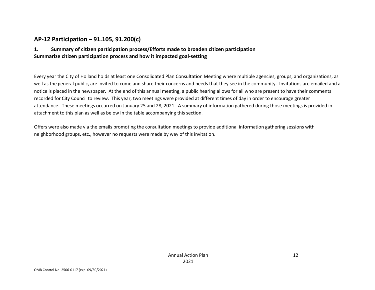# **AP-12 Participation – 91.105, 91.200(c)**

## **1. Summary of citizen participation process/Efforts made to broaden citizen participation Summarize citizen participation process and how it impacted goal-setting**

Every year the City of Holland holds at least one Consolidated Plan Consultation Meeting where multiple agencies, groups, and organizations, as well as the general public, are invited to come and share their concerns and needs that they see in the community. Invitations are emailed and a notice is placed in the newspaper. At the end of this annual meeting, a public hearing allows for all who are present to have their comments recorded for City Council to review. This year, two meetings were provided at different times of day in order to encourage greater attendance. These meetings occurred on January 25 and 28, 2021. A summary of information gathered during those meetings is provided in attachment to this plan as well as below in the table accompanying this section.

Offers were also made via the emails promoting the consultation meetings to provide additional information gathering sessions with neighborhood groups, etc., however no requests were made by way of this invitation.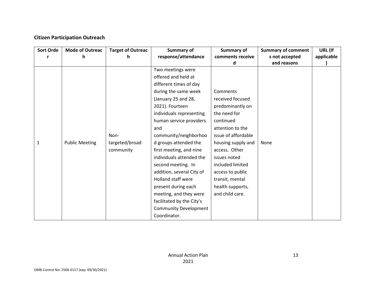## **Citizen Participation Outreach**

| <b>Sort Orde</b> | <b>Mode of Outreac</b><br><b>Target of Outreac</b> |                | Summary of                   | Summary of          | <b>Summary of comment</b> | URL (If    |
|------------------|----------------------------------------------------|----------------|------------------------------|---------------------|---------------------------|------------|
|                  | h                                                  | h.             | response/attendance          | comments receive    | s not accepted            | applicable |
|                  |                                                    |                |                              | d                   | and reasons               |            |
|                  |                                                    |                | Two meetings were            |                     |                           |            |
|                  |                                                    |                | offered and held at          |                     |                           |            |
|                  |                                                    |                | different times of day       |                     |                           |            |
|                  |                                                    |                | during the same week         | Comments            |                           |            |
|                  |                                                    |                | (January 25 and 28,          | received focused    |                           |            |
|                  |                                                    |                | 2021). Fourteen              | predominantly on    |                           |            |
|                  |                                                    |                | individuals representing     | the need for        |                           |            |
|                  |                                                    |                | human service providers      | continued           |                           |            |
|                  |                                                    |                | and                          | attention to the    |                           |            |
|                  |                                                    | Non-           | community/neighborhoo        | issue of affordable |                           |            |
| 1                | <b>Public Meeting</b>                              | targeted/broad | d groups attended the        | housing supply and  | None                      |            |
|                  |                                                    | community      | first meeting, and nine      | access. Other       |                           |            |
|                  |                                                    |                | individuals attended the     | issues noted        |                           |            |
|                  |                                                    |                | second meeting. In           | included limited    |                           |            |
|                  |                                                    |                | addition, several City of    | access to public    |                           |            |
|                  |                                                    |                | <b>Holland staff were</b>    | transit, mental     |                           |            |
|                  |                                                    |                | present during each          | health supports,    |                           |            |
|                  |                                                    |                | meeting, and they were       | and child care.     |                           |            |
|                  |                                                    |                | facilitated by the City's    |                     |                           |            |
|                  |                                                    |                | <b>Community Development</b> |                     |                           |            |
|                  |                                                    |                | Coordinator.                 |                     |                           |            |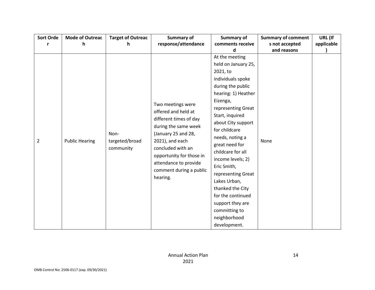| <b>Sort Orde</b> | <b>Mode of Outreac</b> | <b>Target of Outreac</b> | Summary of               | Summary of          | <b>Summary of comment</b> | URL (If    |
|------------------|------------------------|--------------------------|--------------------------|---------------------|---------------------------|------------|
| r                | h.                     | h                        | response/attendance      | comments receive    | s not accepted            | applicable |
|                  |                        |                          |                          | d                   | and reasons               |            |
|                  |                        |                          |                          | At the meeting      |                           |            |
|                  |                        |                          |                          | held on January 25, |                           |            |
|                  |                        |                          |                          | 2021, to            |                           |            |
|                  |                        |                          |                          | individuals spoke   |                           |            |
|                  |                        |                          |                          | during the public   |                           |            |
|                  |                        |                          |                          | hearing: 1) Heather |                           |            |
|                  |                        |                          |                          | Eizenga,            |                           |            |
|                  |                        |                          | Two meetings were        | representing Great  |                           |            |
|                  |                        |                          | offered and held at      | Start, inquired     |                           |            |
|                  |                        |                          | different times of day   | about City support  |                           |            |
|                  |                        |                          | during the same week     | for childcare       |                           |            |
|                  |                        | Non-                     | (January 25 and 28,      | needs, noting a     |                           |            |
| $\overline{2}$   | <b>Public Hearing</b>  | targeted/broad           | 2021), and each          | great need for      | None                      |            |
|                  |                        | community                | concluded with an        | childcare for all   |                           |            |
|                  |                        |                          | opportunity for those in | income levels; 2)   |                           |            |
|                  |                        |                          | attendance to provide    | Eric Smith,         |                           |            |
|                  |                        |                          | comment during a public  | representing Great  |                           |            |
|                  |                        |                          | hearing.                 | Lakes Urban,        |                           |            |
|                  |                        |                          | thanked the City         |                     |                           |            |
|                  |                        |                          |                          | for the continued   |                           |            |
|                  |                        |                          |                          | support they are    |                           |            |
|                  |                        |                          |                          | committing to       |                           |            |
|                  |                        |                          |                          | neighborhood        |                           |            |
|                  |                        |                          |                          | development.        |                           |            |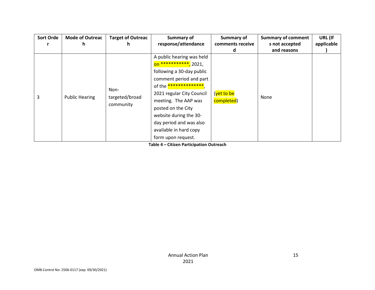| <b>Sort Orde</b> | <b>Mode of Outreac</b> | <b>Target of Outreac</b> | Summary of                          | Summary of       | <b>Summary of comment</b> | URL (If    |
|------------------|------------------------|--------------------------|-------------------------------------|------------------|---------------------------|------------|
|                  | n                      | n                        | response/attendance                 | comments receive | s not accepted            | applicable |
|                  |                        |                          |                                     |                  | and reasons               |            |
|                  |                        |                          | A public hearing was held           |                  |                           |            |
|                  |                        |                          | on *********** <mark>,</mark> 2021, |                  |                           |            |
|                  | <b>Public Hearing</b>  | Non-                     | following a 30-day public           |                  |                           |            |
|                  |                        |                          | comment period and part             |                  |                           |            |
|                  |                        |                          | of the **************               | (yet to be       |                           |            |
| 3                |                        |                          | 2021 regular City Council           |                  |                           |            |
|                  |                        | targeted/broad           | meeting. The AAP was                | completed)       | None                      |            |
|                  |                        | community                | posted on the City                  |                  |                           |            |
|                  |                        |                          | website during the 30-              |                  |                           |            |
|                  |                        |                          | day period and was also             |                  |                           |            |
|                  |                        |                          | available in hard copy              |                  |                           |            |
|                  |                        |                          | form upon request.                  |                  |                           |            |

**Table 4 – Citizen Participation Outreach**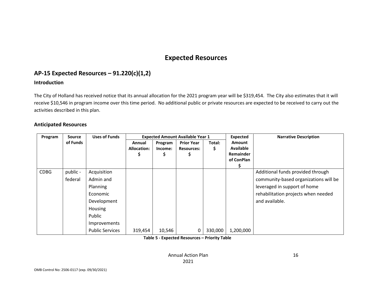# **Expected Resources**

# **AP-15 Expected Resources – 91.220(c)(1,2)**

#### **Introduction**

The City of Holland has received notice that its annual allocation for the 2021 program year will be \$319,454. The City also estimates that it will receive \$10,546 in program income over this time period. No additional public or private resources are expected to be received to carry out the activities described in this plan.

#### **Anticipated Resources**

| Program     | Source   | <b>Uses of Funds</b>   |             |         | <b>Expected Amount Available Year 1</b> |         | <b>Expected</b>         | <b>Narrative Description</b>          |
|-------------|----------|------------------------|-------------|---------|-----------------------------------------|---------|-------------------------|---------------------------------------|
|             | of Funds |                        | Annual      | Program | <b>Prior Year</b>                       | Total:  | <b>Amount</b>           |                                       |
|             |          |                        | Allocation: | Income: | <b>Resources:</b>                       | \$      | <b>Available</b>        |                                       |
|             |          |                        |             |         | S                                       |         | Remainder<br>of ConPlan |                                       |
|             |          |                        |             |         |                                         |         |                         |                                       |
| <b>CDBG</b> | public - | Acquisition            |             |         |                                         |         |                         | Additional funds provided through     |
|             | federal  | Admin and              |             |         |                                         |         |                         | community-based organizations will be |
|             |          | Planning               |             |         |                                         |         |                         | leveraged in support of home          |
|             |          | Economic               |             |         |                                         |         |                         | rehabilitation projects when needed   |
|             |          | Development            |             |         |                                         |         |                         | and available.                        |
|             |          | Housing                |             |         |                                         |         |                         |                                       |
|             |          | Public                 |             |         |                                         |         |                         |                                       |
|             |          | Improvements           |             |         |                                         |         |                         |                                       |
|             |          | <b>Public Services</b> | 319,454     | 10,546  |                                         | 330,000 | 1,200,000               |                                       |

**Table 5 - Expected Resources – Priority Table**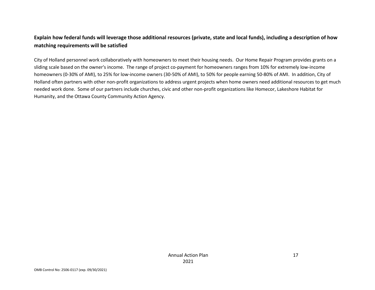# **Explain how federal funds will leverage those additional resources (private, state and local funds), including a description of how matching requirements will be satisfied**

City of Holland personnel work collaboratively with homeowners to meet their housing needs. Our Home Repair Program provides grants on a sliding scale based on the owner's income. The range of project co-payment for homeowners ranges from 10% for extremely low-income homeowners (0-30% of AMI), to 25% for low-income owners (30-50% of AMI), to 50% for people earning 50-80% of AMI. In addition, City of Holland often partners with other non-profit organizations to address urgent projects when home owners need additional resources to get much needed work done. Some of our partners include churches, civic and other non-profit organizations like Homecor, Lakeshore Habitat for Humanity, and the Ottawa County Community Action Agency.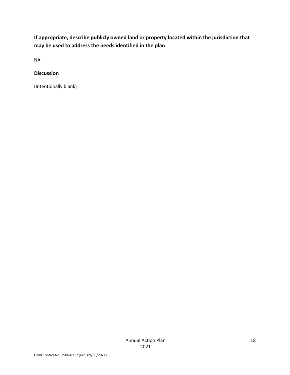**If appropriate, describe publicly owned land or property located within the jurisdiction that may be used to address the needs identified in the plan**

NA

#### **Discussion**

(Intentionally blank)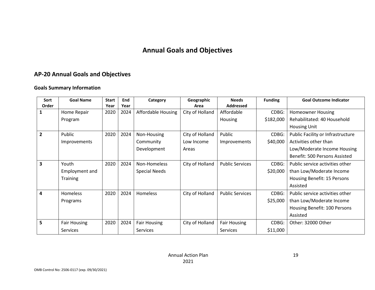# **Annual Goals and Objectives**

# **AP-20 Annual Goals and Objectives**

#### **Goals Summary Information**

| Sort           | <b>Goal Name</b>    | <b>Start</b> | End  | Category                  | Geographic      | <b>Needs</b>           | <b>Funding</b> | <b>Goal Outcome Indicator</b>     |
|----------------|---------------------|--------------|------|---------------------------|-----------------|------------------------|----------------|-----------------------------------|
| Order          |                     | Year         | Year |                           | Area            | <b>Addressed</b>       |                |                                   |
|                | Home Repair         | 2020         | 2024 | <b>Affordable Housing</b> | City of Holland | Affordable             | CDBG:          | <b>Homeowner Housing</b>          |
|                | Program             |              |      |                           |                 | Housing                | \$182,000      | Rehabilitated: 40 Household       |
|                |                     |              |      |                           |                 |                        |                | <b>Housing Unit</b>               |
| $\overline{2}$ | Public              | 2020         | 2024 | Non-Housing               | City of Holland | Public                 | CDBG:          | Public Facility or Infrastructure |
|                | Improvements        |              |      | Community                 | Low Income      | Improvements           | \$40,000       | Activities other than             |
|                |                     |              |      | Development               | Areas           |                        |                | Low/Moderate Income Housing       |
|                |                     |              |      |                           |                 |                        |                | Benefit: 500 Persons Assisted     |
| 3              | Youth               | 2020         | 2024 | Non-Homeless              | City of Holland | <b>Public Services</b> | CDBG:          | Public service activities other   |
|                | Employment and      |              |      | <b>Special Needs</b>      |                 |                        | \$20,000       | than Low/Moderate Income          |
|                | <b>Training</b>     |              |      |                           |                 |                        |                | Housing Benefit: 15 Persons       |
|                |                     |              |      |                           |                 |                        |                | Assisted                          |
| 4              | <b>Homeless</b>     | 2020         | 2024 | Homeless                  | City of Holland | <b>Public Services</b> | CDBG:          | Public service activities other   |
|                | Programs            |              |      |                           |                 |                        | \$25,000       | than Low/Moderate Income          |
|                |                     |              |      |                           |                 |                        |                | Housing Benefit: 100 Persons      |
|                |                     |              |      |                           |                 |                        |                | Assisted                          |
| 5              | <b>Fair Housing</b> | 2020         | 2024 | <b>Fair Housing</b>       | City of Holland | <b>Fair Housing</b>    | CDBG:          | Other: 32000 Other                |
|                | <b>Services</b>     |              |      | <b>Services</b>           |                 | <b>Services</b>        | \$11,000       |                                   |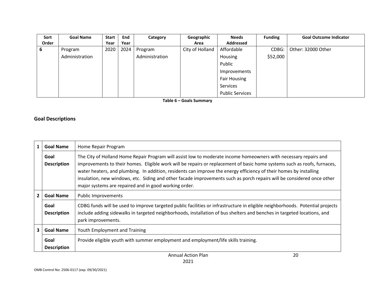| Sort  | <b>Goal Name</b> | <b>Start</b> | End  | Category       | Geographic      | <b>Needs</b>           | <b>Funding</b> | <b>Goal Outcome Indicator</b> |
|-------|------------------|--------------|------|----------------|-----------------|------------------------|----------------|-------------------------------|
| Order |                  | Year         | Year |                | Area            | Addressed              |                |                               |
| 6     | Program          | 2020         | 2024 | Program        | City of Holland | Affordable             | CDBG:          | Other: 32000 Other            |
|       | Administration   |              |      | Administration |                 | Housing                | \$52,000       |                               |
|       |                  |              |      |                |                 | Public                 |                |                               |
|       |                  |              |      |                |                 | Improvements           |                |                               |
|       |                  |              |      |                |                 | <b>Fair Housing</b>    |                |                               |
|       |                  |              |      |                |                 | Services               |                |                               |
|       |                  |              |      |                |                 | <b>Public Services</b> |                |                               |

**Table 6 – Goals Summary**

# **Goal Descriptions**

| 1              | <b>Goal Name</b>           | Home Repair Program                                                                                                                                                                                                                                                                                                                                                                                                                                                                                                                                   |  |  |
|----------------|----------------------------|-------------------------------------------------------------------------------------------------------------------------------------------------------------------------------------------------------------------------------------------------------------------------------------------------------------------------------------------------------------------------------------------------------------------------------------------------------------------------------------------------------------------------------------------------------|--|--|
|                | Goal<br><b>Description</b> | The City of Holland Home Repair Program will assist low to moderate income homeowners with necessary repairs and<br>improvements to their homes. Eligible work will be repairs or replacement of basic home systems such as roofs, furnaces,<br>water heaters, and plumbing. In addition, residents can improve the energy efficiency of their homes by installing<br>insulation, new windows, etc. Siding and other facade improvements such as porch repairs will be considered once other<br>major systems are repaired and in good working order. |  |  |
| $\overline{2}$ | <b>Goal Name</b>           | <b>Public Improvements</b>                                                                                                                                                                                                                                                                                                                                                                                                                                                                                                                            |  |  |
|                | Goal<br><b>Description</b> | CDBG funds will be used to improve targeted public facilities or infrastructure in eligible neighborhoods. Potential projects<br>include adding sidewalks in targeted neighborhoods, installation of bus shelters and benches in targeted locations, and<br>park improvements.                                                                                                                                                                                                                                                                        |  |  |
| 3              | <b>Goal Name</b>           | Youth Employment and Training                                                                                                                                                                                                                                                                                                                                                                                                                                                                                                                         |  |  |
|                | Goal<br><b>Description</b> | Provide eligible youth with summer employment and employment/life skills training.                                                                                                                                                                                                                                                                                                                                                                                                                                                                    |  |  |
|                |                            | 20<br>Annual Action Plan                                                                                                                                                                                                                                                                                                                                                                                                                                                                                                                              |  |  |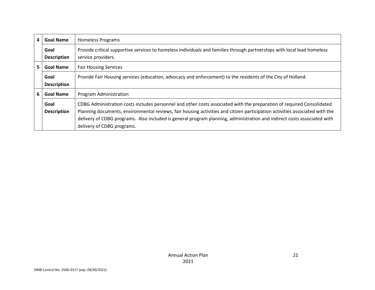| 4                                                      | <b>Goal Name</b>           | <b>Homeless Programs</b>                                                                                                                                                                                                                                                                                                                                                                                      |  |
|--------------------------------------------------------|----------------------------|---------------------------------------------------------------------------------------------------------------------------------------------------------------------------------------------------------------------------------------------------------------------------------------------------------------------------------------------------------------------------------------------------------------|--|
|                                                        | Goal<br><b>Description</b> | Provide critical supportive services to homeless individuals and families through partnerships with local lead homeless<br>service providers.                                                                                                                                                                                                                                                                 |  |
| 5.<br><b>Goal Name</b><br><b>Fair Housing Services</b> |                            |                                                                                                                                                                                                                                                                                                                                                                                                               |  |
|                                                        | Goal<br><b>Description</b> | Provide Fair Housing services (education, advocacy and enforcement) to the residents of the City of Holland.                                                                                                                                                                                                                                                                                                  |  |
| 6<br><b>Goal Name</b><br>Program Administration        |                            |                                                                                                                                                                                                                                                                                                                                                                                                               |  |
|                                                        | Goal<br><b>Description</b> | CDBG Administration costs includes personnel and other costs associated with the preparation of required Consolidated<br>Planning documents, environmental reviews, fair housing activities and citizen participation activities associated with the<br>delivery of CDBG programs. Also included is general program planning, administration and indirect costs associated with<br>delivery of CDBG programs. |  |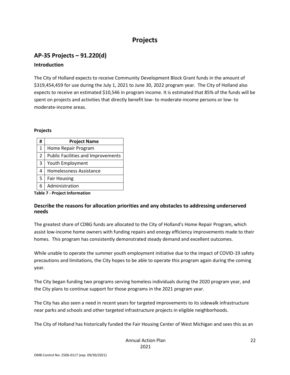# **Projects**

# **AP-35 Projects – 91.220(d) Introduction**

The City of Holland expects to receive Community Development Block Grant funds in the amount of \$319,454,459 for use during the July 1, 2021 to June 30, 2022 program year. The City of Holland also expects to receive an estimated \$10,546 in program income. It is estimated that 85% of the funds will be spent on projects and activities that directly benefit low- to moderate-income persons or low- to moderate-income areas.

#### **Projects**

| # | <b>Project Name</b>                       |  |
|---|-------------------------------------------|--|
| 1 | Home Repair Program                       |  |
| 2 | <b>Public Facilities and Improvements</b> |  |
| 3 | Youth Employment                          |  |
| 4 | <b>Homelessness Assistance</b>            |  |
| 5 | <b>Fair Housing</b>                       |  |
| 6 | Administration                            |  |

**Table 7 - Project Information**

#### **Describe the reasons for allocation priorities and any obstacles to addressing underserved needs**

The greatest share of CDBG funds are allocated to the City of Holland's Home Repair Program, which assist low-income home owners with funding repairs and energy efficiency improvements made to their homes. This program has consistently demonstrated steady demand and excellent outcomes.

While unable to operate the summer youth employment initiative due to the impact of COVID-19 safety precautions and limitations, the City hopes to be able to operate this program again during the coming year.

The City began funding two programs serving homeless individuals during the 2020 program year, and the City plans to continue support for those programs in the 2021 program year.

The City has also seen a need in recent years for targeted improvements to its sidewalk infrastructure near parks and schools and other targeted infrastructure projects in eligible neighborhoods.

The City of Holland has historically funded the Fair Housing Center of West Michigan and sees this as an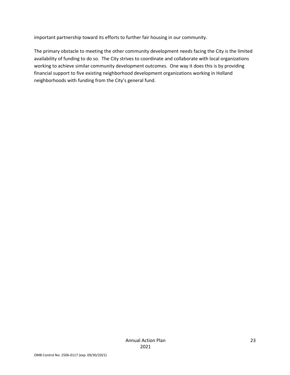important partnership toward its efforts to further fair housing in our community.

The primary obstacle to meeting the other community development needs facing the City is the limited availability of funding to do so. The City strives to coordinate and collaborate with local organizations working to achieve similar community development outcomes. One way it does this is by providing financial support to five existing neighborhood development organizations working in Holland neighborhoods with funding from the City's general fund.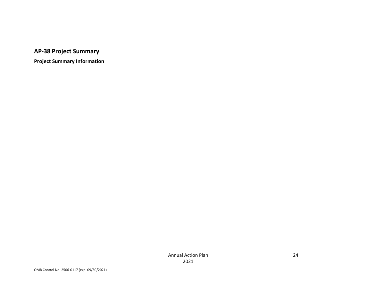**AP-38 Project Summary**

**Project Summary Information**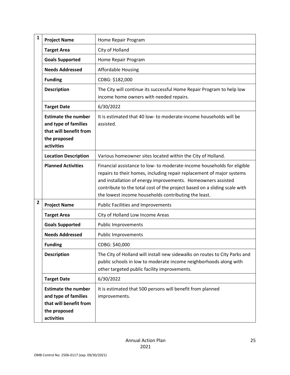| $\mathbf{1}$   | <b>Project Name</b>                                                                                        | Home Repair Program                                                                                                                                                                                                                                                                                                                                   |
|----------------|------------------------------------------------------------------------------------------------------------|-------------------------------------------------------------------------------------------------------------------------------------------------------------------------------------------------------------------------------------------------------------------------------------------------------------------------------------------------------|
|                | <b>Target Area</b>                                                                                         | City of Holland                                                                                                                                                                                                                                                                                                                                       |
|                | <b>Goals Supported</b>                                                                                     | Home Repair Program                                                                                                                                                                                                                                                                                                                                   |
|                | <b>Needs Addressed</b>                                                                                     | <b>Affordable Housing</b>                                                                                                                                                                                                                                                                                                                             |
|                | <b>Funding</b>                                                                                             | CDBG: \$182,000                                                                                                                                                                                                                                                                                                                                       |
|                | <b>Description</b>                                                                                         | The City will continue its successful Home Repair Program to help low<br>income home owners with needed repairs.                                                                                                                                                                                                                                      |
|                | <b>Target Date</b>                                                                                         | 6/30/2022                                                                                                                                                                                                                                                                                                                                             |
|                | <b>Estimate the number</b><br>and type of families<br>that will benefit from<br>the proposed<br>activities | It is estimated that 40 low- to moderate-income households will be<br>assisted.                                                                                                                                                                                                                                                                       |
|                | <b>Location Description</b>                                                                                | Various homeowner sites located within the City of Holland.                                                                                                                                                                                                                                                                                           |
|                | <b>Planned Activities</b>                                                                                  | Financial assistance to low- to moderate-income households for eligible<br>repairs to their homes, including repair replacement of major systems<br>and installation of energy improvements. Homeowners assisted<br>contribute to the total cost of the project based on a sliding scale with<br>the lowest income households contributing the least. |
| $\overline{2}$ | <b>Project Name</b>                                                                                        | <b>Public Facilities and Improvements</b>                                                                                                                                                                                                                                                                                                             |
|                | <b>Target Area</b>                                                                                         | City of Holland Low Income Areas                                                                                                                                                                                                                                                                                                                      |
|                | <b>Goals Supported</b>                                                                                     | <b>Public Improvements</b>                                                                                                                                                                                                                                                                                                                            |
|                | <b>Needs Addressed</b>                                                                                     | <b>Public Improvements</b>                                                                                                                                                                                                                                                                                                                            |
|                | <b>Funding</b>                                                                                             | CDBG: \$40,000                                                                                                                                                                                                                                                                                                                                        |
|                | <b>Description</b>                                                                                         | The City of Holland will install new sidewalks on routes to City Parks and<br>public schools in low to moderate income neighborhoods along with<br>other targeted public facility improvements.                                                                                                                                                       |
|                | <b>Target Date</b>                                                                                         | 6/30/2022                                                                                                                                                                                                                                                                                                                                             |
|                | <b>Estimate the number</b><br>and type of families<br>that will benefit from<br>the proposed<br>activities | It is estimated that 500 persons will benefit from planned<br>improvements.                                                                                                                                                                                                                                                                           |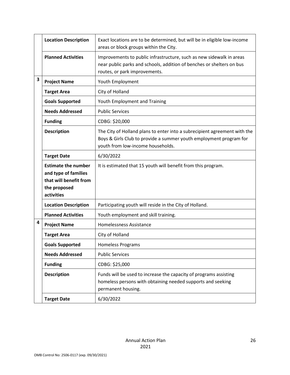|   | <b>Location Description</b>                                                                                | Exact locations are to be determined, but will be in eligible low-income<br>areas or block groups within the City.                                                                   |
|---|------------------------------------------------------------------------------------------------------------|--------------------------------------------------------------------------------------------------------------------------------------------------------------------------------------|
|   | <b>Planned Activities</b>                                                                                  | Improvements to public infrastructure, such as new sidewalk in areas<br>near public parks and schools, addition of benches or shelters on bus<br>routes, or park improvements.       |
| 3 | <b>Project Name</b>                                                                                        | Youth Employment                                                                                                                                                                     |
|   | <b>Target Area</b>                                                                                         | City of Holland                                                                                                                                                                      |
|   | <b>Goals Supported</b>                                                                                     | Youth Employment and Training                                                                                                                                                        |
|   | <b>Needs Addressed</b>                                                                                     | <b>Public Services</b>                                                                                                                                                               |
|   | <b>Funding</b>                                                                                             | CDBG: \$20,000                                                                                                                                                                       |
|   | <b>Description</b>                                                                                         | The City of Holland plans to enter into a subrecipient agreement with the<br>Boys & Girls Club to provide a summer youth employment program for<br>youth from low-income households. |
|   | <b>Target Date</b>                                                                                         | 6/30/2022                                                                                                                                                                            |
|   | <b>Estimate the number</b><br>and type of families<br>that will benefit from<br>the proposed<br>activities | It is estimated that 15 youth will benefit from this program.                                                                                                                        |
|   | <b>Location Description</b>                                                                                | Participating youth will reside in the City of Holland.                                                                                                                              |
|   | <b>Planned Activities</b>                                                                                  | Youth employment and skill training.                                                                                                                                                 |
| 4 | <b>Project Name</b>                                                                                        | Homelessness Assistance                                                                                                                                                              |
|   | <b>Target Area</b>                                                                                         | City of Holland                                                                                                                                                                      |
|   | <b>Goals Supported</b>                                                                                     | <b>Homeless Programs</b>                                                                                                                                                             |
|   | <b>Needs Addressed</b>                                                                                     | <b>Public Services</b>                                                                                                                                                               |
|   | <b>Funding</b>                                                                                             | CDBG: \$25,000                                                                                                                                                                       |
|   | <b>Description</b>                                                                                         | Funds will be used to increase the capacity of programs assisting<br>homeless persons with obtaining needed supports and seeking<br>permanent housing.                               |
|   | <b>Target Date</b>                                                                                         | 6/30/2022                                                                                                                                                                            |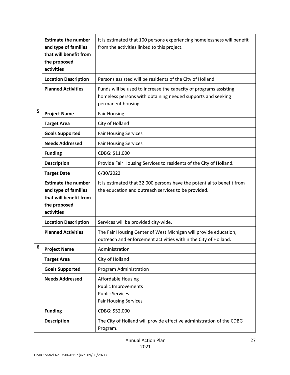|   | <b>Estimate the number</b><br>and type of families<br>that will benefit from<br>the proposed<br>activities | It is estimated that 100 persons experiencing homelessness will benefit<br>from the activities linked to this project.                                 |
|---|------------------------------------------------------------------------------------------------------------|--------------------------------------------------------------------------------------------------------------------------------------------------------|
|   | <b>Location Description</b>                                                                                | Persons assisted will be residents of the City of Holland.                                                                                             |
|   | <b>Planned Activities</b>                                                                                  | Funds will be used to increase the capacity of programs assisting<br>homeless persons with obtaining needed supports and seeking<br>permanent housing. |
| 5 | <b>Project Name</b>                                                                                        | <b>Fair Housing</b>                                                                                                                                    |
|   | <b>Target Area</b>                                                                                         | City of Holland                                                                                                                                        |
|   | <b>Goals Supported</b>                                                                                     | <b>Fair Housing Services</b>                                                                                                                           |
|   | <b>Needs Addressed</b>                                                                                     | <b>Fair Housing Services</b>                                                                                                                           |
|   | <b>Funding</b>                                                                                             | CDBG: \$11,000                                                                                                                                         |
|   | <b>Description</b>                                                                                         | Provide Fair Housing Services to residents of the City of Holland.                                                                                     |
|   | <b>Target Date</b>                                                                                         | 6/30/2022                                                                                                                                              |
|   | <b>Estimate the number</b><br>and type of families<br>that will benefit from<br>the proposed<br>activities | It is estimated that 32,000 persons have the potential to benefit from<br>the education and outreach services to be provided.                          |
|   | <b>Location Description</b>                                                                                | Services will be provided city-wide.                                                                                                                   |
|   | <b>Planned Activities</b>                                                                                  | The Fair Housing Center of West Michigan will provide education,<br>outreach and enforcement activities within the City of Holland.                    |
| 6 | <b>Project Name</b>                                                                                        | Administration                                                                                                                                         |
|   | <b>Target Area</b>                                                                                         | City of Holland                                                                                                                                        |
|   | <b>Goals Supported</b>                                                                                     | Program Administration                                                                                                                                 |
|   | <b>Needs Addressed</b>                                                                                     | <b>Affordable Housing</b><br><b>Public Improvements</b><br><b>Public Services</b><br><b>Fair Housing Services</b>                                      |
|   | <b>Funding</b>                                                                                             | CDBG: \$52,000                                                                                                                                         |
|   | <b>Description</b>                                                                                         | The City of Holland will provide effective administration of the CDBG<br>Program.                                                                      |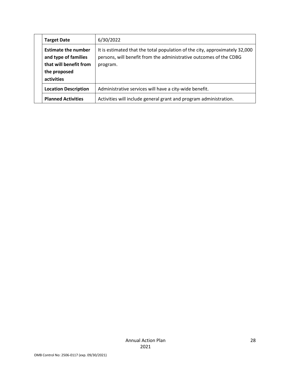| <b>Target Date</b>                                                                                         | 6/30/2022                                                                                                                                                     |
|------------------------------------------------------------------------------------------------------------|---------------------------------------------------------------------------------------------------------------------------------------------------------------|
| <b>Estimate the number</b><br>and type of families<br>that will benefit from<br>the proposed<br>activities | It is estimated that the total population of the city, approximately 32,000<br>persons, will benefit from the administrative outcomes of the CDBG<br>program. |
| <b>Location Description</b>                                                                                | Administrative services will have a city-wide benefit.                                                                                                        |
| <b>Planned Activities</b>                                                                                  | Activities will include general grant and program administration.                                                                                             |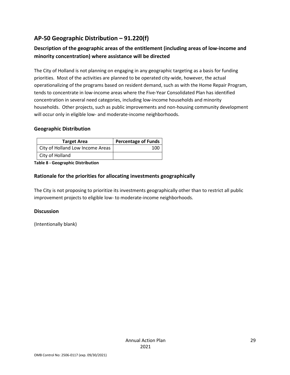# **AP-50 Geographic Distribution – 91.220(f)**

# **Description of the geographic areas of the entitlement (including areas of low-income and minority concentration) where assistance will be directed**

The City of Holland is not planning on engaging in any geographic targeting as a basis for funding priorities. Most of the activities are planned to be operated city-wide, however, the actual operationalizing of the programs based on resident demand, such as with the Home Repair Program, tends to concentrate in low-income areas where the Five-Year Consolidated Plan has identified concentration in several need categories, including low-income households and minority households. Other projects, such as public improvements and non-housing community development will occur only in eligible low- and moderate-income neighborhoods.

## **Geographic Distribution**

| <b>Target Area</b>               | <b>Percentage of Funds</b> |
|----------------------------------|----------------------------|
| City of Holland Low Income Areas | 100                        |
| City of Holland                  |                            |

**Table 8 - Geographic Distribution** 

## **Rationale for the priorities for allocating investments geographically**

The City is not proposing to prioritize its investments geographically other than to restrict all public improvement projects to eligible low- to moderate-income neighborhoods.

#### **Discussion**

(Intentionally blank)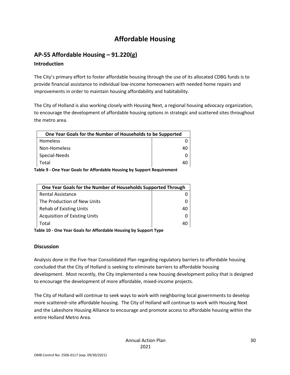# **Affordable Housing**

# **AP-55 Affordable Housing – 91.220(g)**

## **Introduction**

The City's primary effort to foster affordable housing through the use of its allocated CDBG funds is to provide financial assistance to individual low-income homeowners with needed home repairs and improvements in order to maintain housing affordability and habitability.

The City of Holland is also working closely with Housing Next, a regional housing advocacy organization, to encourage the development of affordable housing options in strategic and scattered sites throughout the metro area.

| One Year Goals for the Number of Households to be Supported |    |
|-------------------------------------------------------------|----|
| Homeless                                                    |    |
| Non-Homeless                                                | 40 |
| Special-Needs                                               |    |
| Total                                                       | 40 |
|                                                             |    |

**Table 9 - One Year Goals for Affordable Housing by Support Requirement**

| One Year Goals for the Number of Households Supported Through |    |
|---------------------------------------------------------------|----|
| <b>Rental Assistance</b>                                      |    |
| The Production of New Units                                   |    |
| <b>Rehab of Existing Units</b>                                | 40 |
| <b>Acquisition of Existing Units</b>                          |    |
| Total                                                         | 40 |

**Table 10 - One Year Goals for Affordable Housing by Support Type**

## **Discussion**

Analysis done in the Five-Year Consolidated Plan regarding regulatory barriers to affordable housing concluded that the City of Holland is seeking to eliminate barriers to affordable housing development. Most recently, the City implemented a new housing development policy that is designed to encourage the development of more affordable, mixed-income projects.

The City of Holland will continue to seek ways to work with neighboring local governments to develop more scattered–site affordable housing. The City of Holland will continue to work with Housing Next and the Lakeshore Housing Alliance to encourage and promote access to affordable housing within the entire Holland Metro Area.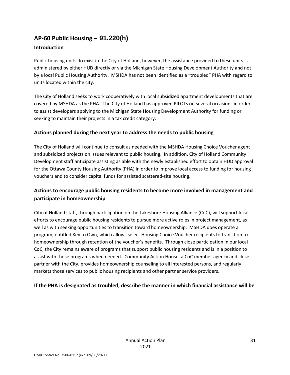# **AP-60 Public Housing** *–* **91.220(h)**

## **Introduction**

Public housing units do exist in the City of Holland, however, the assistance provided to these units is administered by either HUD directly or via the Michigan State Housing Development Authority and not by a local Public Housing Authority. MSHDA has not been identified as a "troubled" PHA with regard to units located within the city.

The City of Holland seeks to work cooperatively with local subsidized apartment developments that are covered by MSHDA as the PHA. The City of Holland has approved PILOTs on several occasions in order to assist developers applying to the Michigan State Housing Development Authority for funding or seeking to maintain their projects in a tax credit category.

## **Actions planned during the next year to address the needs to public housing**

The City of Holland will continue to consult as needed with the MSHDA Housing Choice Voucher agent and subsidized projects on issues relevant to public housing. In addition, City of Holland Community Development staff anticipate assisting as able with the newly established effort to obtain HUD approval for the Ottawa County Housing Authority (PHA) in order to improve local access to funding for housing vouchers and to consider capital funds for assisted scattered-site housing.

# **Actions to encourage public housing residents to become more involved in management and participate in homeownership**

City of Holland staff, through participation on the Lakeshore Housing Alliance (CoC), will support local efforts to encourage public housing residents to pursue more active roles in project management, as well as with seeking opportunities to transition toward homeownership. MSHDA does operate a program, entitled Key to Own, which allows select Housing Choice Voucher recipients to transition to homeownership through retention of the voucher's benefits. Through close participation in our local CoC, the City remains aware of programs that support public housing residents and is in a position to assist with those programs when needed. Community Action House, a CoC member agency and close partner with the City, provides homeownership counseling to all interested persons, and regularly markets those services to public housing recipients and other partner service providers.

## **If the PHA is designated as troubled, describe the manner in which financial assistance will be**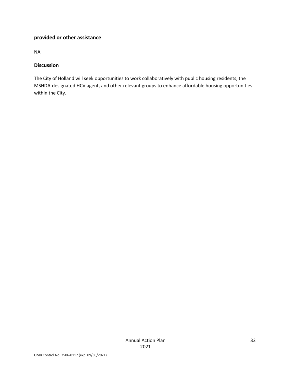## **provided or other assistance**

NA

#### **Discussion**

The City of Holland will seek opportunities to work collaboratively with public housing residents, the MSHDA-designated HCV agent, and other relevant groups to enhance affordable housing opportunities within the City.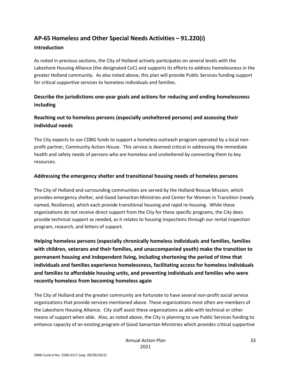# **AP-65 Homeless and Other Special Needs Activities – 91.220(i)**

#### **Introduction**

As noted in previous sections, the City of Holland actively participates on several levels with the Lakeshore Housing Alliance (the designated CoC) and supports its efforts to address homelessness in the greater Holland community. As also noted above, this plan will provide Public Services funding support for critical supportive services to homeless individuals and families.

# **Describe the jurisdictions one-year goals and actions for reducing and ending homelessness including**

## **Reaching out to homeless persons (especially unsheltered persons) and assessing their individual needs**

The City expects to use CDBG funds to support a homeless outreach program operated by a local nonprofit partner, Community Action House. This service is deemed critical in addressing the immediate health and safety needs of persons who are homeless and unsheltered by connecting them to key resources.

#### **Addressing the emergency shelter and transitional housing needs of homeless persons**

The City of Holland and surrounding communities are served by the Holland Rescue Mission, which provides emergency shelter, and Good Samaritan Ministries and Center for Women in Transition (newly named, Resilience), which each provide transitional housing and rapid re-housing. While these organizations do not receive direct support from the City for these specific programs, the City does provide technical support as needed, as it relates to housing inspections through our rental inspection program, research, and letters of support.

**Helping homeless persons (especially chronically homeless individuals and families, families with children, veterans and their families, and unaccompanied youth) make the transition to permanent housing and independent living, including shortening the period of time that individuals and families experience homelessness, facilitating access for homeless individuals and families to affordable housing units, and preventing individuals and families who were recently homeless from becoming homeless again**

The City of Holland and the greater community are fortunate to have several non-profit social service organizations that provide services mentioned above. These organizations most often are members of the Lakeshore Housing Alliance. City staff assist these organizations as able with technical or other means of support when able. Also, as noted above, the City is planning to use Public Services funding to enhance capacity of an existing program of Good Samaritan Ministries which provides critical supportive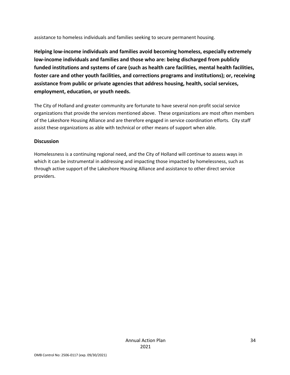assistance to homeless individuals and families seeking to secure permanent housing.

**Helping low-income individuals and families avoid becoming homeless, especially extremely low-income individuals and families and those who are: being discharged from publicly funded institutions and systems of care (such as health care facilities, mental health facilities, foster care and other youth facilities, and corrections programs and institutions); or, receiving assistance from public or private agencies that address housing, health, social services, employment, education, or youth needs.**

The City of Holland and greater community are fortunate to have several non-profit social service organizations that provide the services mentioned above. These organizations are most often members of the Lakeshore Housing Alliance and are therefore engaged in service coordination efforts. City staff assist these organizations as able with technical or other means of support when able.

#### **Discussion**

Homelessness is a continuing regional need, and the City of Holland will continue to assess ways in which it can be instrumental in addressing and impacting those impacted by homelessness, such as through active support of the Lakeshore Housing Alliance and assistance to other direct service providers.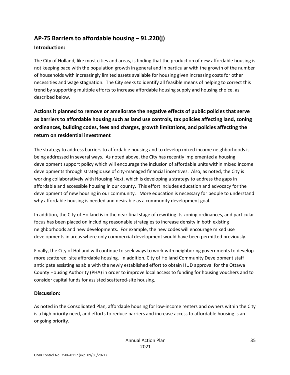# **AP-75 Barriers to affordable housing – 91.220(j)**

## **Introduction:**

The City of Holland, like most cities and areas, is finding that the production of new affordable housing is not keeping pace with the population growth in general and in particular with the growth of the number of households with increasingly limited assets available for housing given increasing costs for other necessities and wage stagnation. The City seeks to identify all feasible means of helping to correct this trend by supporting multiple efforts to increase affordable housing supply and housing choice, as described below.

# **Actions it planned to remove or ameliorate the negative effects of public policies that serve as barriers to affordable housing such as land use controls, tax policies affecting land, zoning ordinances, building codes, fees and charges, growth limitations, and policies affecting the return on residential investment**

The strategy to address barriers to affordable housing and to develop mixed income neighborhoods is being addressed in several ways. As noted above, the City has recently implemented a housing development support policy which will encourage the inclusion of affordable units within mixed income developments through strategic use of city-managed financial incentives. Also, as noted, the City is working collaboratively with Housing Next, which is developing a strategy to address the gaps in affordable and accessible housing in our county. This effort includes education and advocacy for the development of new housing in our community. More education is necessary for people to understand why affordable housing is needed and desirable as a community development goal.

In addition, the City of Holland is in the near final stage of rewriting its zoning ordinances, and particular focus has been placed on including reasonable strategies to increase density in both existing neighborhoods and new developments. For example, the new codes will encourage mixed use developments in areas where only commercial development would have been permitted previously.

Finally, the City of Holland will continue to seek ways to work with neighboring governments to develop more scattered–site affordable housing. In addition, City of Holland Community Development staff anticipate assisting as able with the newly established effort to obtain HUD approval for the Ottawa County Housing Authority (PHA) in order to improve local access to funding for housing vouchers and to consider capital funds for assisted scattered-site housing.

## **Discussion:**

As noted in the Consolidated Plan, affordable housing for low-income renters and owners within the City is a high priority need, and efforts to reduce barriers and increase access to affordable housing is an ongoing priority.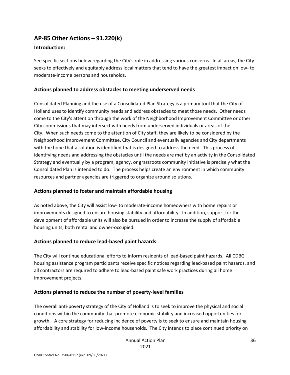# **AP-85 Other Actions – 91.220(k)**

#### **Introduction:**

See specific sections below regarding the City's role in addressing various concerns. In all areas, the City seeks to effectively and equitably address local matters that tend to have the greatest impact on low- to moderate-income persons and households.

#### **Actions planned to address obstacles to meeting underserved needs**

Consolidated Planning and the use of a Consolidated Plan Strategy is a primary tool that the City of Holland uses to identify community needs and address obstacles to meet those needs. Other needs come to the City's attention through the work of the Neighborhood Improvement Committee or other City commissions that may intersect with needs from underserved individuals or areas of the City. When such needs come to the attention of City staff, they are likely to be considered by the Neighborhood Improvement Committee, City Council and eventually agencies and City departments with the hope that a solution is identified that is designed to address the need. This process of identifying needs and addressing the obstacles until the needs are met by an activity in the Consolidated Strategy and eventually by a program, agency, or grassroots community initiative is precisely what the Consolidated Plan is intended to do. The process helps create an environment in which community resources and partner agencies are triggered to organize around solutions.

## **Actions planned to foster and maintain affordable housing**

As noted above, the City will assist low- to moderate-income homeowners with home repairs or improvements designed to ensure housing stability and affordability. In addition, support for the development of affordable units will also be pursued in order to increase the supply of affordable housing units, both rental and owner-occupied.

## **Actions planned to reduce lead-based paint hazards**

The City will continue educational efforts to inform residents of lead-based paint hazards. All CDBG housing assistance program participants receive specific notices regarding lead-based paint hazards, and all contractors are required to adhere to lead-based paint safe work practices during all home improvement projects.

## **Actions planned to reduce the number of poverty-level families**

The overall anti-poverty strategy of the City of Holland is to seek to improve the physical and social conditions within the community that promote economic stability and increased opportunities for growth. A core strategy for reducing incidence of poverty is to seek to ensure and maintain housing affordability and stability for low-income households. The City intends to place continued priority on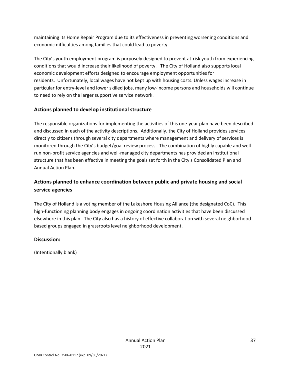maintaining its Home Repair Program due to its effectiveness in preventing worsening conditions and economic difficulties among families that could lead to poverty.

The City's youth employment program is purposely designed to prevent at-risk youth from experiencing conditions that would increase their likelihood of poverty. The City of Holland also supports local economic development efforts designed to encourage employment opportunities for residents. Unfortunately, local wages have not kept up with housing costs. Unless wages increase in particular for entry-level and lower skilled jobs, many low-income persons and households will continue to need to rely on the larger supportive service network.

## **Actions planned to develop institutional structure**

The responsible organizations for implementing the activities of this one-year plan have been described and discussed in each of the activity descriptions. Additionally, the City of Holland provides services directly to citizens through several city departments where management and delivery of services is monitored through the City's budget/goal review process. The combination of highly capable and wellrun non-profit service agencies and well-managed city departments has provided an institutional structure that has been effective in meeting the goals set forth in the City's Consolidated Plan and Annual Action Plan.

# **Actions planned to enhance coordination between public and private housing and social service agencies**

The City of Holland is a voting member of the Lakeshore Housing Alliance (the designated CoC). This high-functioning planning body engages in ongoing coordination activities that have been discussed elsewhere in this plan. The City also has a history of effective collaboration with several neighborhoodbased groups engaged in grassroots level neighborhood development.

## **Discussion:**

(Intentionally blank)